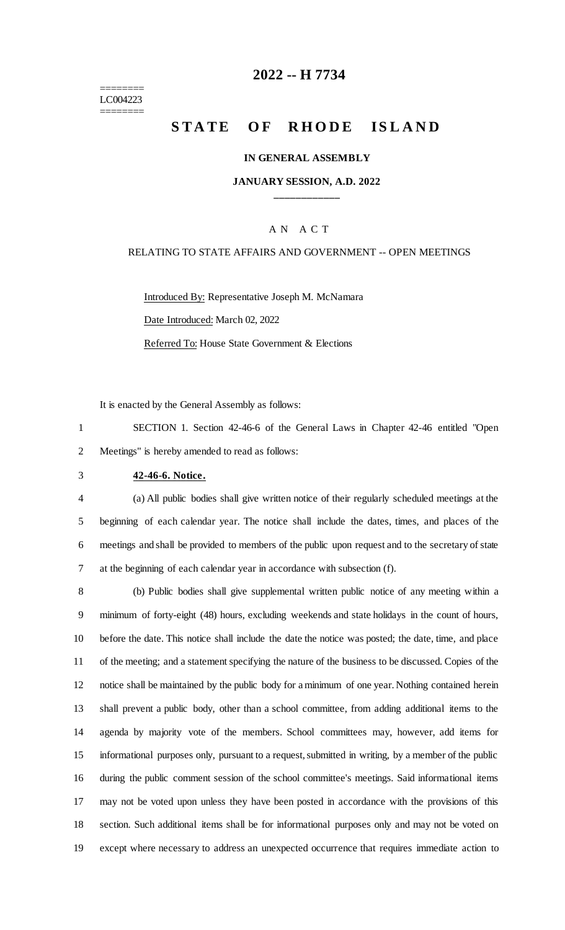======== LC004223 ========

## **-- H 7734**

# **STATE OF RHODE ISLAND**

### **IN GENERAL ASSEMBLY**

### **JANUARY SESSION, A.D. 2022 \_\_\_\_\_\_\_\_\_\_\_\_**

### A N A C T

### RELATING TO STATE AFFAIRS AND GOVERNMENT -- OPEN MEETINGS

Introduced By: Representative Joseph M. McNamara Date Introduced: March 02, 2022 Referred To: House State Government & Elections

It is enacted by the General Assembly as follows:

 SECTION 1. Section 42-46-6 of the General Laws in Chapter 42-46 entitled "Open Meetings" is hereby amended to read as follows:

#### **42-46-6. Notice.**

 (a) All public bodies shall give written notice of their regularly scheduled meetings at the beginning of each calendar year. The notice shall include the dates, times, and places of the meetings and shall be provided to members of the public upon request and to the secretary of state at the beginning of each calendar year in accordance with subsection (f).

 (b) Public bodies shall give supplemental written public notice of any meeting within a minimum of forty-eight (48) hours, excluding weekends and state holidays in the count of hours, before the date. This notice shall include the date the notice was posted; the date, time, and place of the meeting; and a statement specifying the nature of the business to be discussed. Copies of the notice shall be maintained by the public body for a minimum of one year. Nothing contained herein shall prevent a public body, other than a school committee, from adding additional items to the agenda by majority vote of the members. School committees may, however, add items for informational purposes only, pursuant to a request, submitted in writing, by a member of the public during the public comment session of the school committee's meetings. Said informational items may not be voted upon unless they have been posted in accordance with the provisions of this section. Such additional items shall be for informational purposes only and may not be voted on except where necessary to address an unexpected occurrence that requires immediate action to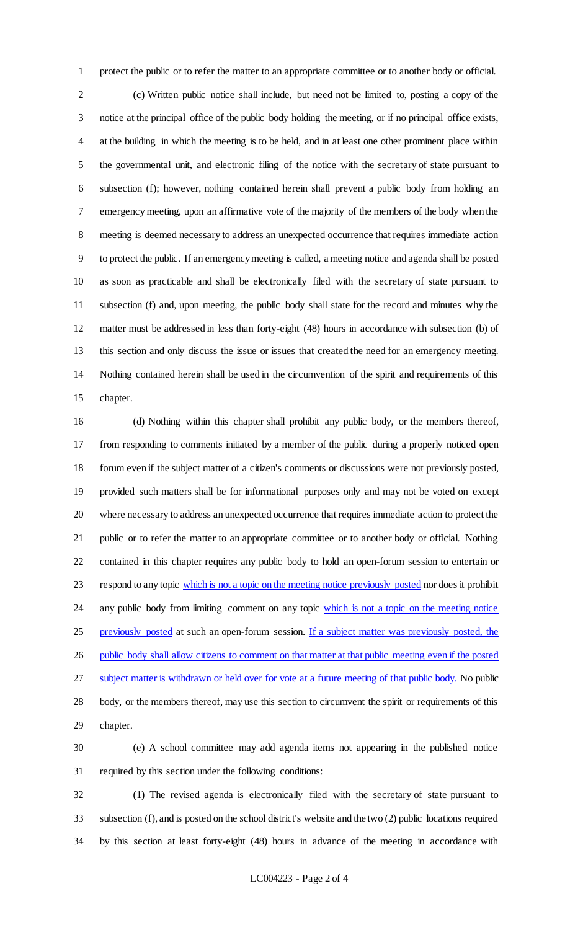protect the public or to refer the matter to an appropriate committee or to another body or official. (c) Written public notice shall include, but need not be limited to, posting a copy of the notice at the principal office of the public body holding the meeting, or if no principal office exists, at the building in which the meeting is to be held, and in at least one other prominent place within the governmental unit, and electronic filing of the notice with the secretary of state pursuant to subsection (f); however, nothing contained herein shall prevent a public body from holding an emergency meeting, upon an affirmative vote of the majority of the members of the body when the meeting is deemed necessary to address an unexpected occurrence that requires immediate action to protect the public. If an emergency meeting is called, a meeting notice and agenda shall be posted as soon as practicable and shall be electronically filed with the secretary of state pursuant to subsection (f) and, upon meeting, the public body shall state for the record and minutes why the matter must be addressed in less than forty-eight (48) hours in accordance with subsection (b) of this section and only discuss the issue or issues that created the need for an emergency meeting. Nothing contained herein shall be used in the circumvention of the spirit and requirements of this chapter.

 (d) Nothing within this chapter shall prohibit any public body, or the members thereof, from responding to comments initiated by a member of the public during a properly noticed open forum even if the subject matter of a citizen's comments or discussions were not previously posted, provided such matters shall be for informational purposes only and may not be voted on except where necessary to address an unexpected occurrence that requires immediate action to protect the public or to refer the matter to an appropriate committee or to another body or official. Nothing contained in this chapter requires any public body to hold an open-forum session to entertain or 23 respond to any topic which is not a topic on the meeting notice previously posted nor does it prohibit 24 any public body from limiting comment on any topic which is not a topic on the meeting notice 25 previously posted at such an open-forum session. If a subject matter was previously posted, the public body shall allow citizens to comment on that matter at that public meeting even if the posted 27 subject matter is withdrawn or held over for vote at a future meeting of that public body. No public body, or the members thereof, may use this section to circumvent the spirit or requirements of this chapter.

 (e) A school committee may add agenda items not appearing in the published notice required by this section under the following conditions:

 (1) The revised agenda is electronically filed with the secretary of state pursuant to subsection (f), and is posted on the school district's website and the two (2) public locations required by this section at least forty-eight (48) hours in advance of the meeting in accordance with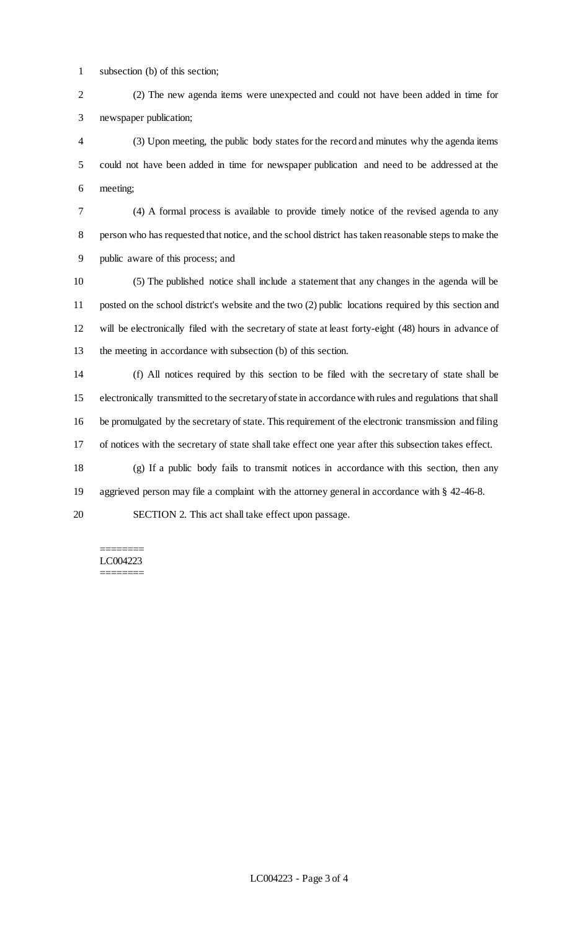subsection (b) of this section;

 (2) The new agenda items were unexpected and could not have been added in time for newspaper publication;

 (3) Upon meeting, the public body states for the record and minutes why the agenda items could not have been added in time for newspaper publication and need to be addressed at the meeting;

 (4) A formal process is available to provide timely notice of the revised agenda to any person who has requested that notice, and the school district has taken reasonable steps to make the public aware of this process; and

 (5) The published notice shall include a statement that any changes in the agenda will be posted on the school district's website and the two (2) public locations required by this section and will be electronically filed with the secretary of state at least forty-eight (48) hours in advance of the meeting in accordance with subsection (b) of this section.

 (f) All notices required by this section to be filed with the secretary of state shall be electronically transmitted to the secretary of state in accordance with rules and regulations that shall be promulgated by the secretary of state. This requirement of the electronic transmission and filing of notices with the secretary of state shall take effect one year after this subsection takes effect.

 (g) If a public body fails to transmit notices in accordance with this section, then any aggrieved person may file a complaint with the attorney general in accordance with § 42-46-8.

SECTION 2. This act shall take effect upon passage.

======== LC004223 ========